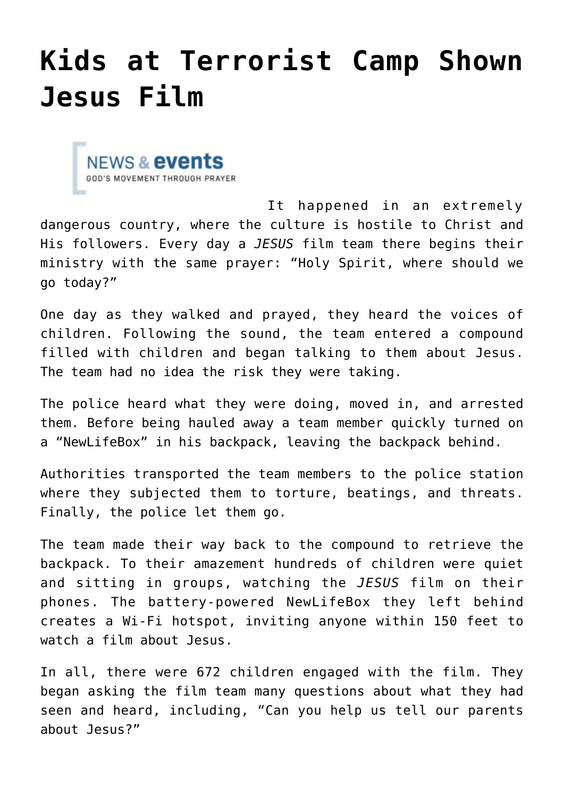## **[Kids at Terrorist Camp Shown](https://www.prayerleader.com/kids-at-terrorist-camp-shown-jesus-film/) [Jesus Film](https://www.prayerleader.com/kids-at-terrorist-camp-shown-jesus-film/)**



It happened in an extremely dangerous country, where the culture is hostile to Christ and His followers. Every day a *JESUS* film team there begins their ministry with the same prayer: "Holy Spirit, where should we go today?"

One day as they walked and prayed, they heard the voices of children. Following the sound, the team entered a compound filled with children and began talking to them about Jesus. The team had no idea the risk they were taking.

The police heard what they were doing, moved in, and arrested them. Before being hauled away a team member quickly turned on a "NewLifeBox" in his backpack, leaving the backpack behind.

Authorities transported the team members to the police station where they subjected them to torture, beatings, and threats. Finally, the police let them go.

The team made their way back to the compound to retrieve the backpack. To their amazement hundreds of children were quiet and sitting in groups, watching the *JESUS* film on their phones. The battery-powered NewLifeBox they left behind creates a Wi-Fi hotspot, inviting anyone within 150 feet to watch a film about Jesus.

In all, there were 672 children engaged with the film. They began asking the film team many questions about what they had seen and heard, including, "Can you help us tell our parents about Jesus?"